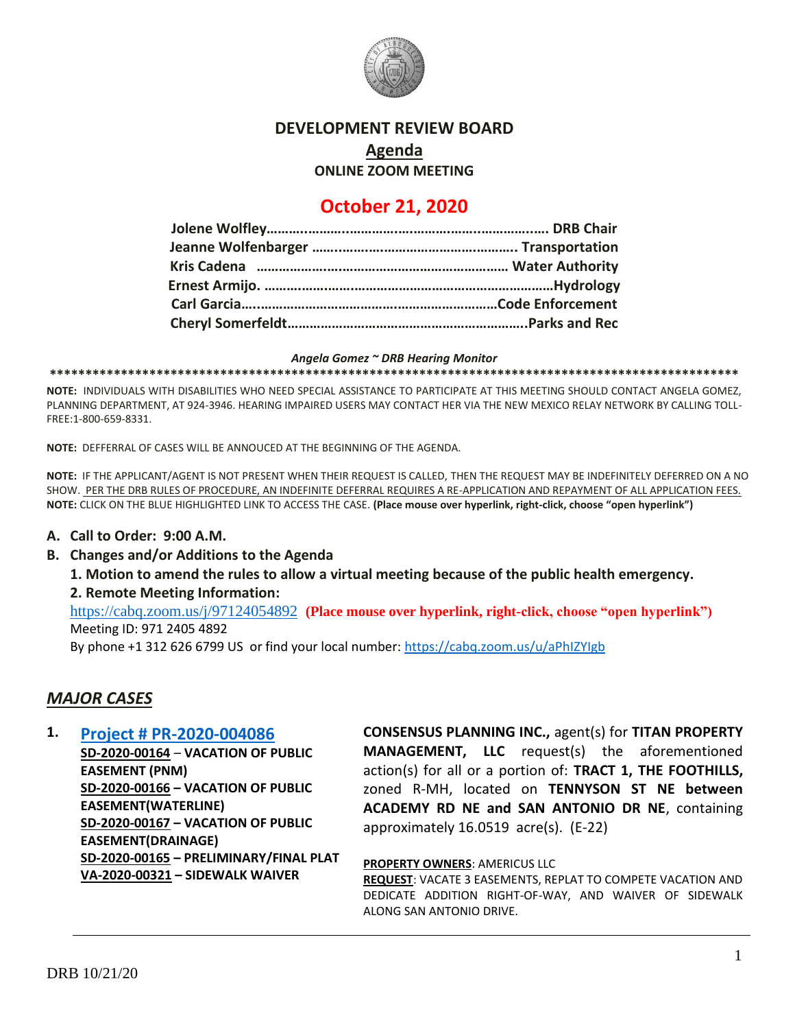

#### **DEVELOPMENT REVIEW BOARD**

**Agenda**

**ONLINE ZOOM MEETING**

# **October 21, 2020**

#### *Angela Gomez ~ DRB Hearing Monitor*

**\*\*\*\*\*\*\*\*\*\*\*\*\*\*\*\*\*\*\*\*\*\*\*\*\*\*\*\*\*\*\*\*\*\*\*\*\*\*\*\*\*\*\*\*\*\*\*\*\*\*\*\*\*\*\*\*\*\*\*\*\*\*\*\*\*\*\*\*\*\*\*\*\*\*\*\*\*\*\*\*\*\*\*\*\*\*\*\*\*\*\*\*\*\*\*\*\***

**NOTE:** INDIVIDUALS WITH DISABILITIES WHO NEED SPECIAL ASSISTANCE TO PARTICIPATE AT THIS MEETING SHOULD CONTACT ANGELA GOMEZ, PLANNING DEPARTMENT, AT 924-3946. HEARING IMPAIRED USERS MAY CONTACT HER VIA THE NEW MEXICO RELAY NETWORK BY CALLING TOLL-FREE:1-800-659-8331.

**NOTE:** DEFFERRAL OF CASES WILL BE ANNOUCED AT THE BEGINNING OF THE AGENDA.

**NOTE:** IF THE APPLICANT/AGENT IS NOT PRESENT WHEN THEIR REQUEST IS CALLED, THEN THE REQUEST MAY BE INDEFINITELY DEFERRED ON A NO SHOW. PER THE DRB RULES OF PROCEDURE, AN INDEFINITE DEFERRAL REQUIRES A RE-APPLICATION AND REPAYMENT OF ALL APPLICATION FEES. **NOTE:** CLICK ON THE BLUE HIGHLIGHTED LINK TO ACCESS THE CASE. **(Place mouse over hyperlink, right-click, choose "open hyperlink")**

#### **A. Call to Order: 9:00 A.M.**

**B. Changes and/or Additions to the Agenda**

**1. Motion to amend the rules to allow a virtual meeting because of the public health emergency.** 

#### **2. Remote Meeting Information:**

<https://cabq.zoom.us/j/97124054892>**(Place mouse over hyperlink, right-click, choose "open hyperlink")** Meeting ID: 971 2405 4892

By phone +1 312 626 6799 US or find your local number:<https://cabq.zoom.us/u/aPhIZYIgb>

### *MAJOR CASES*

**1. [Project # PR-2020-004086](http://data.cabq.gov/government/planning/DRB/PR-2020-004086/DRB%20Submittals/PR-2020-004086_Oct_21_2020/Application/) SD-2020-00164** – **VACATION OF PUBLIC EASEMENT (PNM) SD-2020-00166 – VACATION OF PUBLIC EASEMENT(WATERLINE) SD-2020-00167 – VACATION OF PUBLIC EASEMENT(DRAINAGE) SD-2020-00165 – PRELIMINARY/FINAL PLAT VA-2020-00321 – SIDEWALK WAIVER**

**CONSENSUS PLANNING INC.,** agent(s) for **TITAN PROPERTY MANAGEMENT, LLC** request(s) the aforementioned action(s) for all or a portion of: **TRACT 1, THE FOOTHILLS,** zoned R-MH, located on **TENNYSON ST NE between ACADEMY RD NE and SAN ANTONIO DR NE**, containing approximately 16.0519 acre(s). (E-22)

**PROPERTY OWNERS**: AMERICUS LLC

**REQUEST**: VACATE 3 EASEMENTS, REPLAT TO COMPETE VACATION AND DEDICATE ADDITION RIGHT-OF-WAY, AND WAIVER OF SIDEWALK ALONG SAN ANTONIO DRIVE.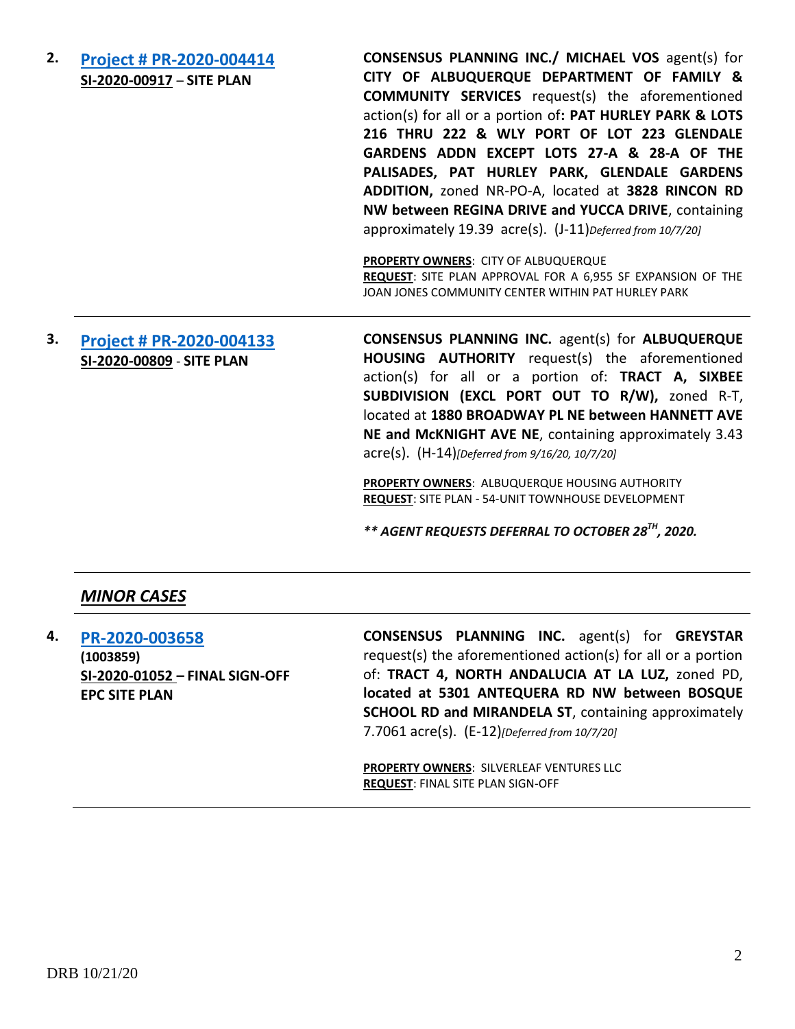**2. [Project # PR-2020-004414](http://data.cabq.gov/government/planning/DRB/PR-2020-004414/DRB%20Submittals/PR-2020-004414_Oct_07_2020/Application/) SI-2020-00917** – **SITE PLAN CONSENSUS PLANNING INC./ MICHAEL VOS** agent(s) for **CITY OF ALBUQUERQUE DEPARTMENT OF FAMILY & COMMUNITY SERVICES** request(s) the aforementioned action(s) for all or a portion of**: PAT HURLEY PARK & LOTS 216 THRU 222 & WLY PORT OF LOT 223 GLENDALE GARDENS ADDN EXCEPT LOTS 27-A & 28-A OF THE PALISADES, PAT HURLEY PARK, GLENDALE GARDENS ADDITION,** zoned NR-PO-A, located at **3828 RINCON RD NW between REGINA DRIVE and YUCCA DRIVE**, containing approximately 19.39 acre(s). (J-11)*Deferred from 10/7/20]* **PROPERTY OWNERS**: CITY OF ALBUQUERQUE **REQUEST**: SITE PLAN APPROVAL FOR A 6,955 SF EXPANSION OF THE JOAN JONES COMMUNITY CENTER WITHIN PAT HURLEY PARK

### **3. [Project # PR-2020-004133](http://data.cabq.gov/government/planning/DRB/PR-2020-004133/DRB%20Submittals/PR-2020-004133_Sept_16_2020/Application/AHA%201880%20Broadway%20Site%20Plan%20DRB%20Application.pdf) SI-2020-00809** - **SITE PLAN**

**CONSENSUS PLANNING INC.** agent(s) for **ALBUQUERQUE HOUSING AUTHORITY** request(s) the aforementioned action(s) for all or a portion of: **TRACT A, SIXBEE SUBDIVISION (EXCL PORT OUT TO R/W),** zoned R-T, located at **1880 BROADWAY PL NE between HANNETT AVE NE and McKNIGHT AVE NE**, containing approximately 3.43 acre(s). (H-14)*[Deferred from 9/16/20, 10/7/20]*

**PROPERTY OWNERS**: ALBUQUERQUE HOUSING AUTHORITY **REQUEST**: SITE PLAN - 54-UNIT TOWNHOUSE DEVELOPMENT

*\*\* AGENT REQUESTS DEFERRAL TO OCTOBER 28TH, 2020.*

### *MINOR CASES*

**4. [PR-2020-003658](http://data.cabq.gov/government/planning/DRB/PR-2020-003658/DRB%20Submittals/PR-2020-003658_Oct_7_2020/Application/) (1003859) SI-2020-01052 – FINAL SIGN-OFF EPC SITE PLAN**

**CONSENSUS PLANNING INC.** agent(s) for **GREYSTAR** request(s) the aforementioned action(s) for all or a portion of: **TRACT 4, NORTH ANDALUCIA AT LA LUZ,** zoned PD, **located at 5301 ANTEQUERA RD NW between BOSQUE SCHOOL RD and MIRANDELA ST, containing approximately** 7.7061 acre(s). (E-12)*[Deferred from 10/7/20]*

**PROPERTY OWNERS**: SILVERLEAF VENTURES LLC **REQUEST**: FINAL SITE PLAN SIGN-OFF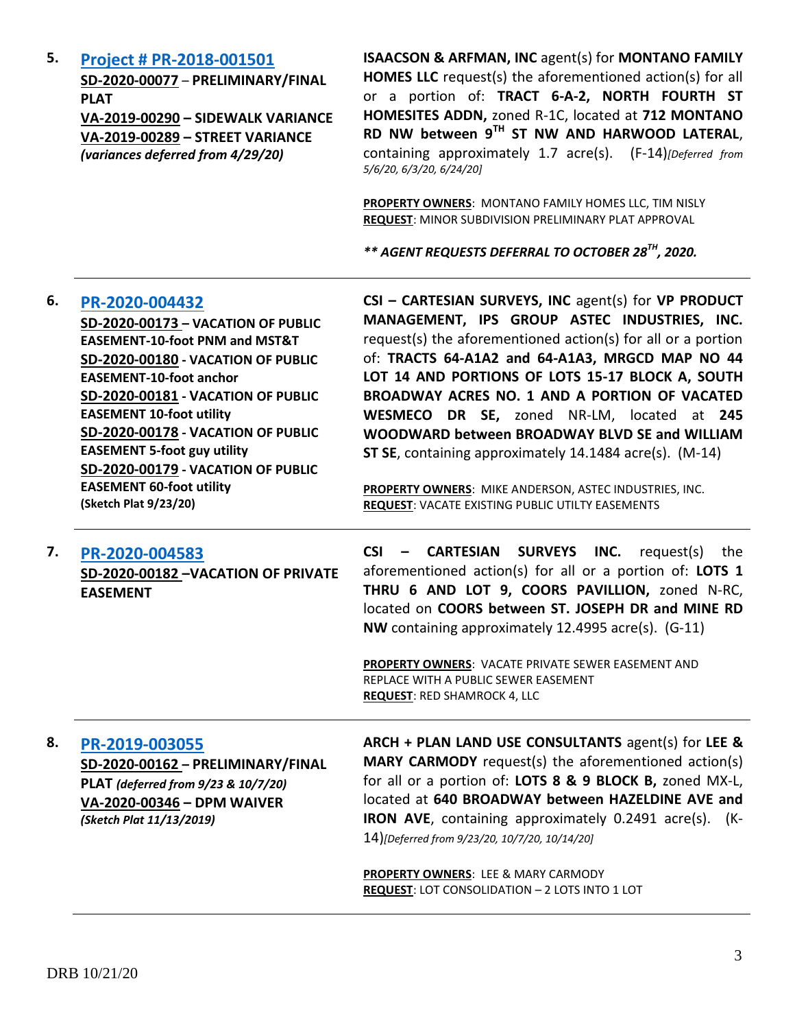**5. [Project # PR-2018-001501](http://data.cabq.gov/government/planning/DRB/PR-2018-001501/DRB%20Submittals/PR-2018-001501_(North%20Fourth%20St.%20Homesites%20Addn)_Mar_11_2020_Supp/Application/PR-2018-001501%20SUPPLEMENTAL%20SUBMITTAL.pdf) SD-2020-00077** – **PRELIMINARY/FINAL PLAT VA-2019-00290 – SIDEWALK VARIANCE**

> **VA-2019-00289 – STREET VARIANCE**  *(variances deferred from 4/29/20)*

**ISAACSON & ARFMAN, INC** agent(s) for **MONTANO FAMILY HOMES LLC** request(s) the aforementioned action(s) for all or a portion of: **TRACT 6-A-2, NORTH FOURTH ST HOMESITES ADDN,** zoned R-1C, located at **712 MONTANO RD NW between 9TH ST NW AND HARWOOD LATERAL**, containing approximately 1.7 acre(s). (F-14)*[Deferred from 5/6/20, 6/3/20, 6/24/20]*

**PROPERTY OWNERS**: MONTANO FAMILY HOMES LLC, TIM NISLY **REQUEST**: MINOR SUBDIVISION PRELIMINARY PLAT APPROVAL

*\*\* AGENT REQUESTS DEFERRAL TO OCTOBER 28TH, 2020.*

| 6. | PR-2020-004432                            | CSI - CARTESIAN SURVEYS, INC agent(s) for VP PRODUCT                |
|----|-------------------------------------------|---------------------------------------------------------------------|
|    | SD-2020-00173 - VACATION OF PUBLIC        | MANAGEMENT, IPS GROUP ASTEC INDUSTRIES, INC.                        |
|    | <b>EASEMENT-10-foot PNM and MST&amp;T</b> | request(s) the aforementioned action(s) for all or a portion        |
|    | SD-2020-00180 - VACATION OF PUBLIC        | of: TRACTS 64-A1A2 and 64-A1A3, MRGCD MAP NO 44                     |
|    | <b>EASEMENT-10-foot anchor</b>            | LOT 14 AND PORTIONS OF LOTS 15-17 BLOCK A, SOUTH                    |
|    | SD-2020-00181 - VACATION OF PUBLIC        | BROADWAY ACRES NO. 1 AND A PORTION OF VACATED                       |
|    | <b>EASEMENT 10-foot utility</b>           | WESMECO DR SE, zoned NR-LM, located at 245                          |
|    | SD-2020-00178 - VACATION OF PUBLIC        | WOODWARD between BROADWAY BLVD SE and WILLIAM                       |
|    | <b>EASEMENT 5-foot guy utility</b>        | ST SE, containing approximately 14.1484 acre(s). (M-14)             |
|    | SD-2020-00179 - VACATION OF PUBLIC        |                                                                     |
|    | <b>EASEMENT 60-foot utility</b>           | PROPERTY OWNERS: MIKE ANDERSON, ASTEC INDUSTRIES, INC.              |
|    | (Sketch Plat 9/23/20)                     | REQUEST: VACATE EXISTING PUBLIC UTILTY EASEMENTS                    |
| 7. | PR-2020-004583                            | <b>CSI</b><br><b>CARTESIAN</b><br>SURVEYS INC.<br>request(s)<br>the |
|    | SD-2020-00182-VACATION OF PRIVATE         | aforementioned action(s) for all or a portion of: LOTS 1            |
|    | <b>EASEMENT</b>                           | THRU 6 AND LOT 9, COORS PAVILLION, zoned N-RC,                      |
|    |                                           | located on COORS between ST. JOSEPH DR and MINE RD                  |
|    |                                           | NW containing approximately 12.4995 acre(s). (G-11)                 |
|    |                                           |                                                                     |
|    |                                           | PROPERTY OWNERS: VACATE PRIVATE SEWER EASEMENT AND                  |
|    |                                           | REPLACE WITH A PUBLIC SEWER EASEMENT                                |
|    |                                           | <b>REQUEST: RED SHAMROCK 4, LLC</b>                                 |
| 8. | PR-2019-003055                            | ARCH + PLAN LAND USE CONSULTANTS agent(s) for LEE &                 |
|    | SD-2020-00162 - PRELIMINARY/FINAL         | <b>MARY CARMODY</b> request(s) the aforementioned action(s)         |
|    | PLAT (deferred from 9/23 & 10/7/20)       | for all or a portion of: LOTS 8 & 9 BLOCK B, zoned MX-L,            |
|    | VA-2020-00346 - DPM WAIVER                | located at 640 BROADWAY between HAZELDINE AVE and                   |
|    | (Sketch Plat 11/13/2019)                  | IRON AVE, containing approximately 0.2491 acre(s). (K-              |
|    |                                           | 14)[Deferred from 9/23/20, 10/7/20, 10/14/20]                       |
|    |                                           |                                                                     |
|    |                                           | PROPERTY OWNERS: LEE & MARY CARMODY                                 |
|    |                                           | <b>REQUEST: LOT CONSOLIDATION - 2 LOTS INTO 1 LOT</b>               |